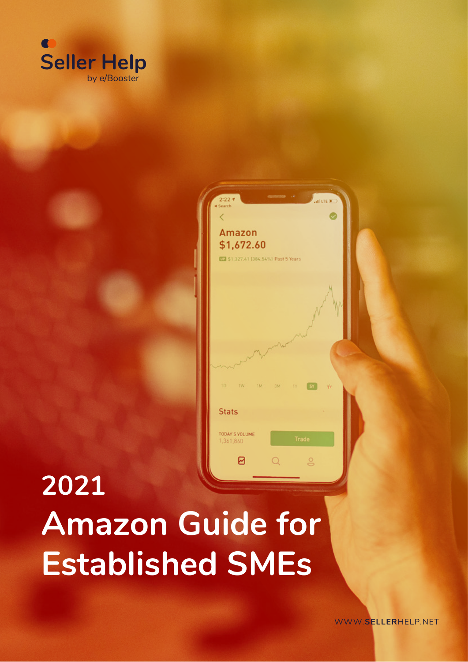



# **2021 Amazon Guide for Established SMEs**

WWW.**SELLER**[HELP.NET](https://sellerhelp.net/)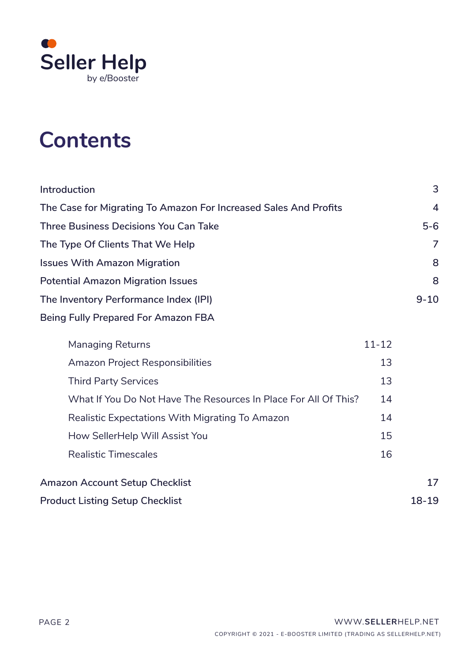

## **Contents**

| Introduction                                                     |           | 3              |
|------------------------------------------------------------------|-----------|----------------|
| The Case for Migrating To Amazon For Increased Sales And Profits |           | $\overline{4}$ |
| <b>Three Business Decisions You Can Take</b>                     |           | $5-6$          |
| The Type Of Clients That We Help                                 |           | 7              |
| <b>Issues With Amazon Migration</b>                              |           | 8              |
| <b>Potential Amazon Migration Issues</b>                         |           | 8              |
| The Inventory Performance Index (IPI)                            |           | $9 - 10$       |
| <b>Being Fully Prepared For Amazon FBA</b>                       |           |                |
| <b>Managing Returns</b>                                          | $11 - 12$ |                |
| <b>Amazon Project Responsibilities</b>                           | 13        |                |
| <b>Third Party Services</b>                                      | 13        |                |
| What If You Do Not Have The Resources In Place For All Of This?  | 14        |                |
| Realistic Expectations With Migrating To Amazon                  | 14        |                |
| How SellerHelp Will Assist You                                   | 15        |                |
| <b>Realistic Timescales</b>                                      | 16        |                |
| <b>Amazon Account Setup Checklist</b>                            |           | 17             |
| <b>Product Listing Setup Checklist</b>                           |           | 18-19          |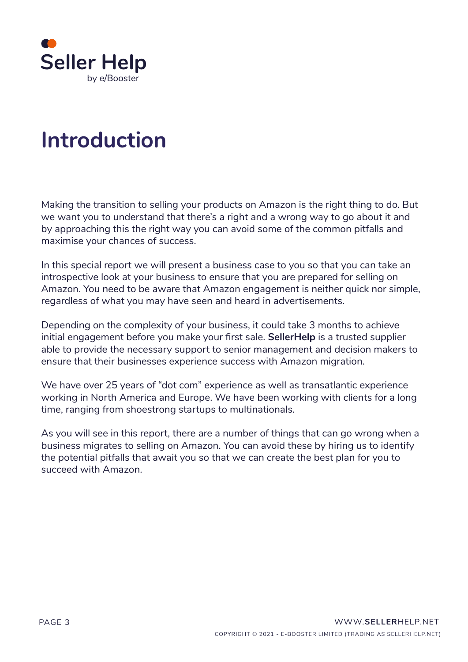

## **Introduction**

Making the transition to selling your products on Amazon is the right thing to do. But we want you to understand that there's a right and a wrong way to go about it and by approaching this the right way you can avoid some of the common pitfalls and maximise your chances of success.

In this special report we will present a business case to you so that you can take an introspective look at your business to ensure that you are prepared for selling on Amazon. You need to be aware that Amazon engagement is neither quick nor simple, regardless of what you may have seen and heard in advertisements.

Depending on the complexity of your business, it could take 3 months to achieve initial engagement before you make your first sale. **SellerHelp** is a trusted supplier able to provide the necessary support to senior management and decision makers to ensure that their businesses experience success with Amazon migration.

We have over 25 years of "dot com" experience as well as transatlantic experience working in North America and Europe. We have been working with clients for a long time, ranging from shoestrong startups to multinationals.

As you will see in this report, there are a number of things that can go wrong when a business migrates to selling on Amazon. You can avoid these by hiring us to identify the potential pitfalls that await you so that we can create the best plan for you to succeed with Amazon.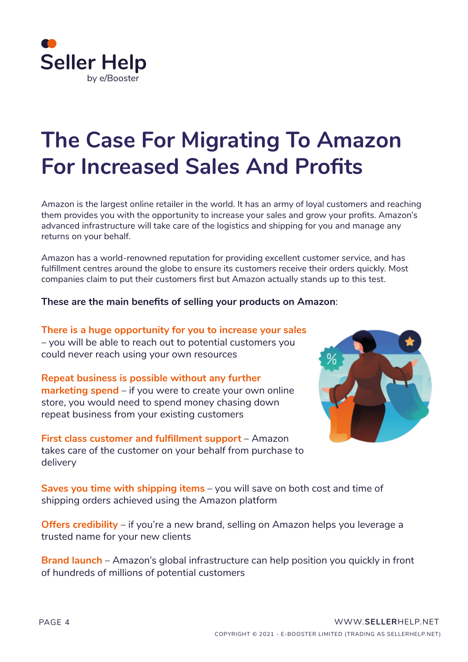

## **The Case For Migrating To Amazon For Increased Sales And Profits**

Amazon is the largest online retailer in the world. It has an army of loyal customers and reaching them provides you with the opportunity to increase your sales and grow your profits. Amazon's advanced infrastructure will take care of the logistics and shipping for you and manage any returns on your behalf.

Amazon has a world-renowned reputation for providing excellent customer service, and has fulfillment centres around the globe to ensure its customers receive their orders quickly. Most companies claim to put their customers first but Amazon actually stands up to this test.

#### **These are the main benefits of selling your products on Amazon**:

**There is a huge opportunity for you to increase your sales** – you will be able to reach out to potential customers you could never reach using your own resources

**Repeat business is possible without any further marketing spend** – if you were to create your own online store, you would need to spend money chasing down repeat business from your existing customers

**First class customer and fulfillment support** – Amazon takes care of the customer on your behalf from purchase to delivery



**Saves you time with shipping items** – you will save on both cost and time of shipping orders achieved using the Amazon platform

**Offers credibility** – if you're a new brand, selling on Amazon helps you leverage a trusted name for your new clients

**Brand launch** – Amazon's global infrastructure can help position you quickly in front of hundreds of millions of potential customers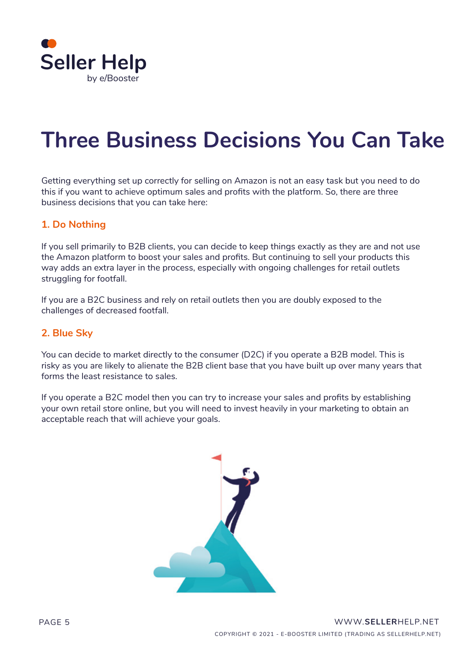

## **Three Business Decisions You Can Take**

Getting everything set up correctly for selling on Amazon is not an easy task but you need to do this if you want to achieve optimum sales and profits with the platform. So, there are three business decisions that you can take here:

#### **1. Do Nothing**

If you sell primarily to B2B clients, you can decide to keep things exactly as they are and not use the Amazon platform to boost your sales and profits. But continuing to sell your products this way adds an extra layer in the process, especially with ongoing challenges for retail outlets struggling for footfall.

If you are a B2C business and rely on retail outlets then you are doubly exposed to the challenges of decreased footfall.

#### **2. Blue Sky**

You can decide to market directly to the consumer (D2C) if you operate a B2B model. This is risky as you are likely to alienate the B2B client base that you have built up over many years that forms the least resistance to sales.

If you operate a B2C model then you can try to increase your sales and profits by establishing your own retail store online, but you will need to invest heavily in your marketing to obtain an acceptable reach that will achieve your goals.

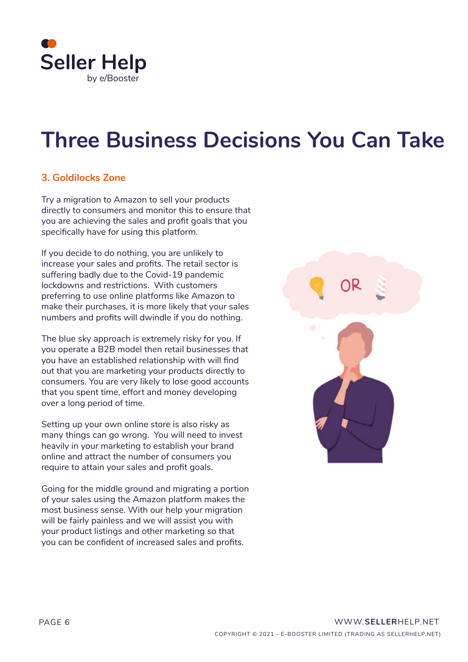

## **Three Business Decisions You Can Take**

### **3. Goldilocks Zone**

Try a migration to Amazon to sell your products directly to consumers and monitor this to ensure that you are achieving the sales and profit goals that you specifically have for using this platform.

If you decide to do nothing, you are unlikely to increase your sales and profits. The retail sector is suffering badly due to the Covid-19 pandemic lockdowns and restrictions. With customers preferring to use online platforms like Amazon to make their purchases, it is more likely that your sales numbers and profits will dwindle if you do nothing.

The blue sky approach is extremely risky for you. If you operate a B2B model then retail businesses that you have an established relationship with will find out that you are marketing your products directly to consumers. You are very likely to lose good accounts that you spent time, effort and money developing over a long period of time.

Setting up your own online store is also risky as many things can go wrong. You will need to invest heavily in your marketing to establish your brand online and attract the number of consumers you require to attain your sales and profit goals.

Going for the middle ground and migrating a portion of your sales using the Amazon platform makes the most business sense. With our help your migration will be fairly painless and we will assist you with your product listings and other marketing so that you can be confident of increased sales and profits.

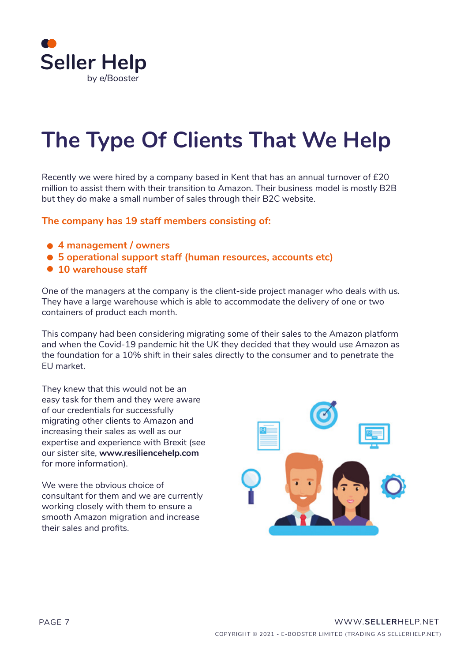

## **The Type Of Clients That We Help**

Recently we were hired by a company based in Kent that has an annual turnover of £20 million to assist them with their transition to Amazon. Their business model is mostly B2B but they do make a small number of sales through their B2C website.

#### **The company has 19 staff members consisting of:**

- **4 management / owners**
- **5 operational support staff (human resources, accounts etc)**
- **10 warehouse staff**

One of the managers at the company is the client-side project manager who deals with us. They have a large warehouse which is able to accommodate the delivery of one or two containers of product each month.

This company had been considering migrating some of their sales to the Amazon platform and when the Covid-19 pandemic hit the UK they decided that they would use Amazon as the foundation for a 10% shift in their sales directly to the consumer and to penetrate the EU market.

They knew that this would not be an easy task for them and they were aware of our credentials for successfully migrating other clients to Amazon and increasing their sales as well as our expertise and experience with Brexit (see our sister site, **[www.resiliencehelp.com](http://www.resiliencehelp.com)** for more information).

We were the obvious choice of consultant for them and we are currently working closely with them to ensure a smooth Amazon migration and increase their sales and profits.

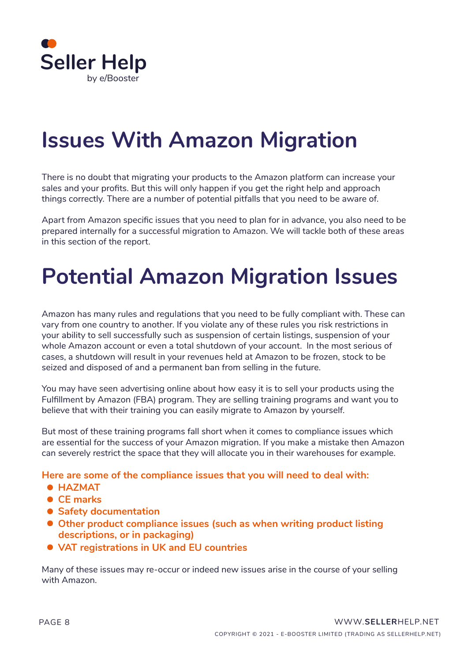

## **Issues With Amazon Migration**

There is no doubt that migrating your products to the Amazon platform can increase your sales and your profits. But this will only happen if you get the right help and approach things correctly. There are a number of potential pitfalls that you need to be aware of.

Apart from Amazon specific issues that you need to plan for in advance, you also need to be prepared internally for a successful migration to Amazon. We will tackle both of these areas in this section of the report.

## **Potential Amazon Migration Issues**

Amazon has many rules and regulations that you need to be fully compliant with. These can vary from one country to another. If you violate any of these rules you risk restrictions in your ability to sell successfully such as suspension of certain listings, suspension of your whole Amazon account or even a total shutdown of your account. In the most serious of cases, a shutdown will result in your revenues held at Amazon to be frozen, stock to be seized and disposed of and a permanent ban from selling in the future.

You may have seen advertising online about how easy it is to sell your products using the Fulfillment by Amazon (FBA) program. They are selling training programs and want you to believe that with their training you can easily migrate to Amazon by yourself.

But most of these training programs fall short when it comes to compliance issues which are essential for the success of your Amazon migration. If you make a mistake then Amazon can severely restrict the space that they will allocate you in their warehouses for example.

**Here are some of the compliance issues that you will need to deal with:**

- **HAZMAT**
- **CE marks**
- **Safety documentation**
- **Other product compliance issues (such as when writing product listing descriptions, or in packaging)**
- **VAT registrations in UK and EU countries**

Many of these issues may re-occur or indeed new issues arise in the course of your selling with Amazon.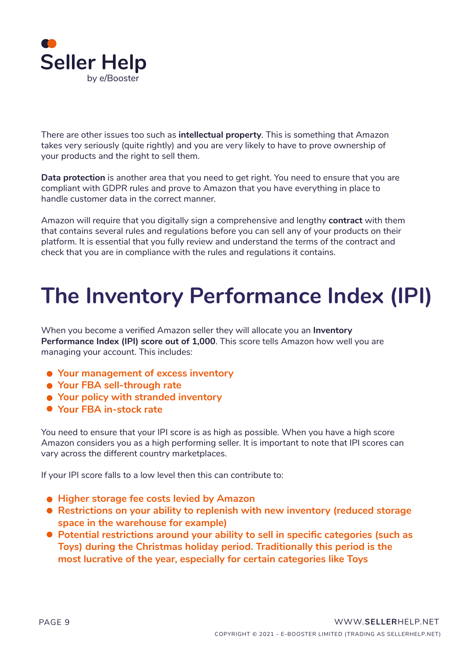

There are other issues too such as **intellectual property**. This is something that Amazon takes very seriously (quite rightly) and you are very likely to have to prove ownership of your products and the right to sell them.

**Data protection** is another area that you need to get right. You need to ensure that you are compliant with GDPR rules and prove to Amazon that you have everything in place to handle customer data in the correct manner.

Amazon will require that you digitally sign a comprehensive and lengthy **contract** with them that contains several rules and regulations before you can sell any of your products on their platform. It is essential that you fully review and understand the terms of the contract and check that you are in compliance with the rules and regulations it contains.

## **The Inventory Performance Index (IPI)**

When you become a verified Amazon seller they will allocate you an **Inventory Performance Index (IPI) score out of 1,000**. This score tells Amazon how well you are managing your account. This includes:

- **Your management of excess inventory**
- **Your FBA sell-through rate**
- **Your policy with stranded inventory**
- **Your FBA in-stock rate**

You need to ensure that your IPI score is as high as possible. When you have a high score Amazon considers you as a high performing seller. It is important to note that IPI scores can vary across the different country marketplaces.

If your IPI score falls to a low level then this can contribute to:

- **Higher storage fee costs levied by Amazon**
- **Restrictions on your ability to replenish with new inventory (reduced storage space in the warehouse for example)**
- **Potential restrictions around your ability to sell in specific categories (such as Toys) during the Christmas holiday period. Traditionally this period is the most lucrative of the year, especially for certain categories like Toys**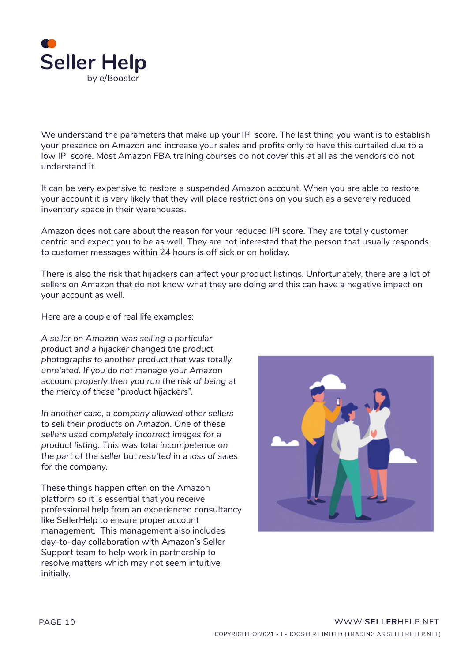

We understand the parameters that make up your IPI score. The last thing you want is to establish your presence on Amazon and increase your sales and profits only to have this curtailed due to a low IPI score. Most Amazon FBA training courses do not cover this at all as the vendors do not understand it.

It can be very expensive to restore a suspended Amazon account. When you are able to restore your account it is very likely that they will place restrictions on you such as a severely reduced inventory space in their warehouses.

Amazon does not care about the reason for your reduced IPI score. They are totally customer centric and expect you to be as well. They are not interested that the person that usually responds to customer messages within 24 hours is off sick or on holiday.

There is also the risk that hijackers can affect your product listings. Unfortunately, there are a lot of sellers on Amazon that do not know what they are doing and this can have a negative impact on your account as well.

Here are a couple of real life examples:

*A seller on Amazon was selling a particular product and a hijacker changed the product photographs to another product that was totally unrelated. If you do not manage your Amazon account properly then you run the risk of being at the mercy of these "product hijackers".*

*In another case, a company allowed other sellers to sell their products on Amazon. One of these sellers used completely incorrect images for a product listing. This was total incompetence on the part of the seller but resulted in a loss of sales for the company.*

These things happen often on the Amazon platform so it is essential that you receive professional help from an experienced consultancy like SellerHelp to ensure proper account management. This management also includes day-to-day collaboration with Amazon's Seller Support team to help work in partnership to resolve matters which may not seem intuitive initially.

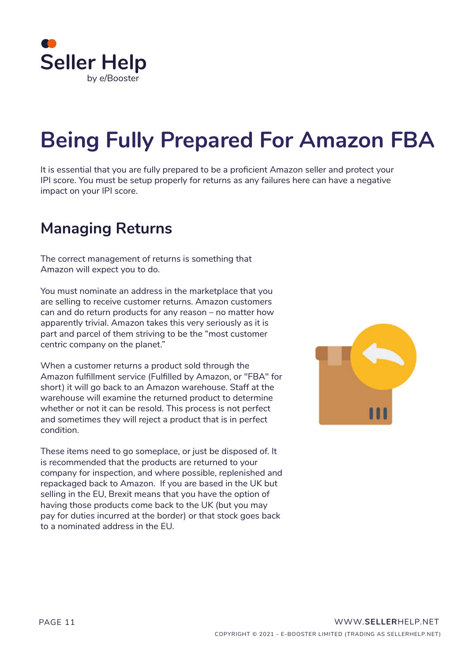

## **Being Fully Prepared For Amazon FBA**

It is essential that you are fully prepared to be a proficient Amazon seller and protect your IPI score. You must be setup properly for returns as any failures here can have a negative impact on your IPI score.

## **Managing Returns**

The correct management of returns is something that Amazon will expect you to do.

You must nominate an address in the marketplace that you are selling to receive customer returns. Amazon customers can and do return products for any reason – no matter how apparently trivial. Amazon takes this very seriously as it is part and parcel of them striving to be the "most customer centric company on the planet."

When a customer returns a product sold through the Amazon fulfillment service (Fulfilled by Amazon, or "FBA" for short) it will go back to an Amazon warehouse. Staff at the warehouse will examine the returned product to determine whether or not it can be resold. This process is not perfect and sometimes they will reject a product that is in perfect condition.

These items need to go someplace, or just be disposed of. It is recommended that the products are returned to your company for inspection, and where possible, replenished and repackaged back to Amazon. If you are based in the UK but selling in the EU, Brexit means that you have the option of having those products come back to the UK (but you may pay for duties incurred at the border) or that stock goes back to a nominated address in the EU.

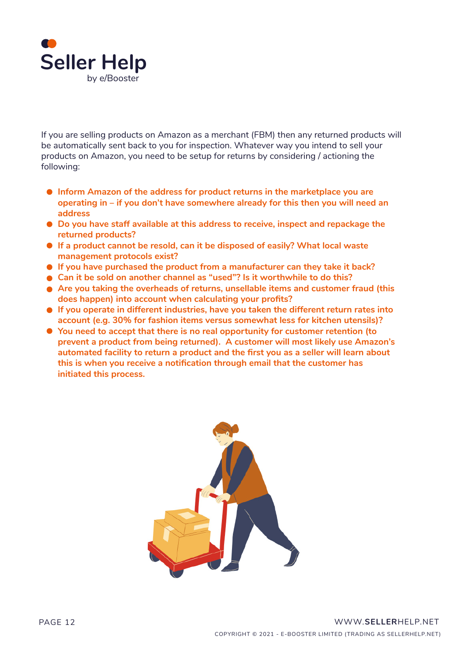

If you are selling products on Amazon as a merchant (FBM) then any returned products will be automatically sent back to you for inspection. Whatever way you intend to sell your products on Amazon, you need to be setup for returns by considering / actioning the following:

- **Inform Amazon of the address for product returns in the marketplace you are operating in – if you don't have somewhere already for this then you will need an address**
- **Do you have staff available at this address to receive, inspect and repackage the returned products?**
- **If a product cannot be resold, can it be disposed of easily? What local waste management protocols exist?**
- **If you have purchased the product from a manufacturer can they take it back?**
- **Can it be sold on another channel as "used"? Is it worthwhile to do this?**
- **Are you taking the overheads of returns, unsellable items and customer fraud (this does happen) into account when calculating your profits?**
- **If you operate in different industries, have you taken the different return rates into account (e.g. 30% for fashion items versus somewhat less for kitchen utensils)?**
- **You need to accept that there is no real opportunity for customer retention (to prevent a product from being returned). A customer will most likely use Amazon's automated facility to return a product and the first you as a seller will learn about this is when you receive a notification through email that the customer has initiated this process.**

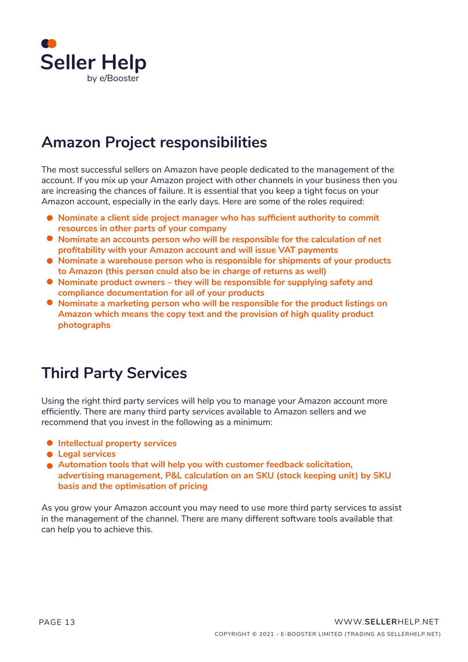

## **Amazon Project responsibilities**

The most successful sellers on Amazon have people dedicated to the management of the account. If you mix up your Amazon project with other channels in your business then you are increasing the chances of failure. It is essential that you keep a tight focus on your Amazon account, especially in the early days. Here are some of the roles required:

- **Nominate a client side project manager who has sufficient authority to commit resources in other parts of your company**
- **Nominate an accounts person who will be responsible for the calculation of net profitability with your Amazon account and will issue VAT payments**
- **Nominate a warehouse person who is responsible for shipments of your products to Amazon (this person could also be in charge of returns as well)**
- **Nominate product owners they will be responsible for supplying safety and compliance documentation for all of your products**
- **Nominate a marketing person who will be responsible for the product listings on Amazon which means the copy text and the provision of high quality product photographs**

### **Third Party Services**

Using the right third party services will help you to manage your Amazon account more efficiently. There are many third party services available to Amazon sellers and we recommend that you invest in the following as a minimum:

- **Intellectual property services**
- **Legal services**
- **Automation tools that will help you with customer feedback solicitation, advertising management, P&L calculation on an SKU (stock keeping unit) by SKU basis and the optimisation of pricing**

As you grow your Amazon account you may need to use more third party services to assist in the management of the channel. There are many different software tools available that can help you to achieve this.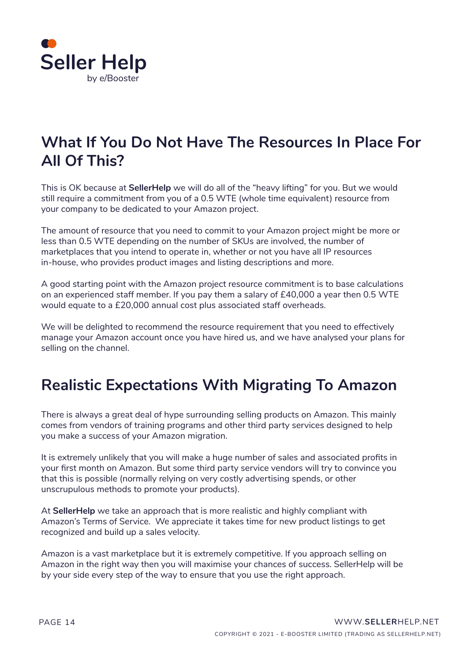

## **What If You Do Not Have The Resources In Place For All Of This?**

This is OK because at **SellerHelp** we will do all of the "heavy lifting" for you. But we would still require a commitment from you of a 0.5 WTE (whole time equivalent) resource from your company to be dedicated to your Amazon project.

The amount of resource that you need to commit to your Amazon project might be more or less than 0.5 WTE depending on the number of SKUs are involved, the number of marketplaces that you intend to operate in, whether or not you have all IP resources in-house, who provides product images and listing descriptions and more.

A good starting point with the Amazon project resource commitment is to base calculations on an experienced staff member. If you pay them a salary of £40,000 a year then 0.5 WTE would equate to a £20,000 annual cost plus associated staff overheads.

We will be delighted to recommend the resource requirement that you need to effectively manage your Amazon account once you have hired us, and we have analysed your plans for selling on the channel.

## **Realistic Expectations With Migrating To Amazon**

There is always a great deal of hype surrounding selling products on Amazon. This mainly comes from vendors of training programs and other third party services designed to help you make a success of your Amazon migration.

It is extremely unlikely that you will make a huge number of sales and associated profits in your first month on Amazon. But some third party service vendors will try to convince you that this is possible (normally relying on very costly advertising spends, or other unscrupulous methods to promote your products).

At **[SellerHelp](https://sellerhelp.net/)** we take an approach that is more realistic and highly compliant with Amazon's Terms of Service. We appreciate it takes time for new product listings to get recognized and build up a sales velocity.

Amazon is a vast marketplace but it is extremely competitive. If you approach selling on Amazon in the right way then you will maximise your chances of success. SellerHelp will be by your side every step of the way to ensure that you use the right approach.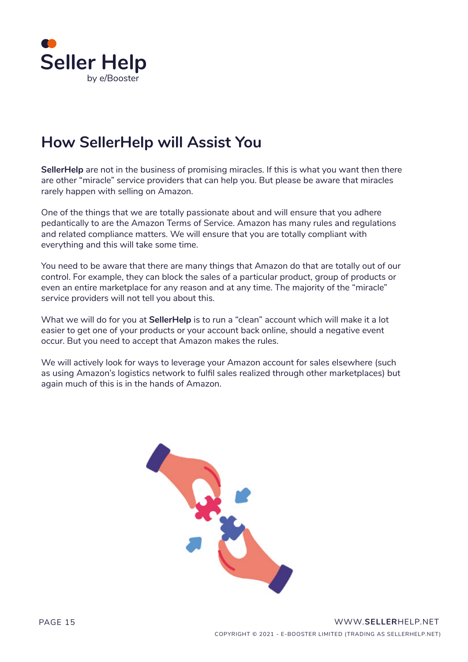

## **How SellerHelp will Assist You**

**SellerHelp** are not in the business of promising miracles. If this is what you want then there are other "miracle" service providers that can help you. But please be aware that miracles rarely happen with selling on Amazon.

One of the things that we are totally passionate about and will ensure that you adhere pedantically to are the Amazon Terms of Service. Amazon has many rules and regulations and related compliance matters. We will ensure that you are totally compliant with everything and this will take some time.

You need to be aware that there are many things that Amazon do that are totally out of our control. For example, they can block the sales of a particular product, group of products or even an entire marketplace for any reason and at any time. The majority of the "miracle" service providers will not tell you about this.

What we will do for you at **[SellerHelp](https://sellerhelp.net/)** is to run a "clean" account which will make it a lot easier to get one of your products or your account back online, should a negative event occur. But you need to accept that Amazon makes the rules.

We will actively look for ways to leverage your Amazon account for sales elsewhere (such as using Amazon's logistics network to fulfil sales realized through other marketplaces) but again much of this is in the hands of Amazon.

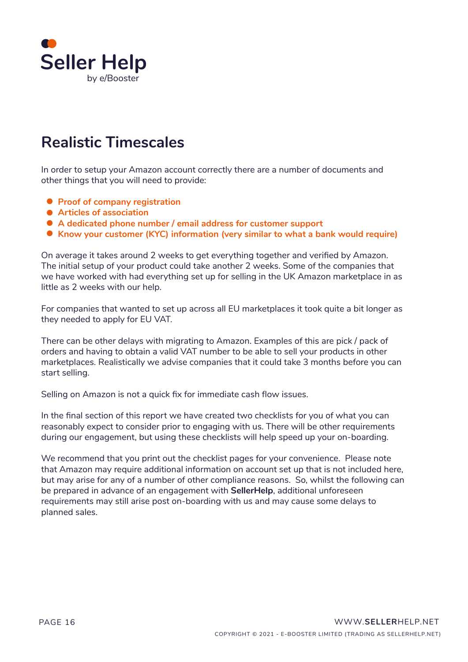

## **Realistic Timescales**

In order to setup your Amazon account correctly there are a number of documents and other things that you will need to provide:

- **Proof of company registration**
- **Articles of association**
- **A dedicated phone number / email address for customer support**
- **K** Know your customer (KYC) information (very similar to what a bank would require)

On average it takes around 2 weeks to get everything together and verified by Amazon. The initial setup of your product could take another 2 weeks. Some of the companies that we have worked with had everything set up for selling in the UK Amazon marketplace in as little as 2 weeks with our help.

For companies that wanted to set up across all EU marketplaces it took quite a bit longer as they needed to apply for EU VAT.

There can be other delays with migrating to Amazon. Examples of this are pick / pack of orders and having to obtain a valid VAT number to be able to sell your products in other marketplaces. Realistically we advise companies that it could take 3 months before you can start selling.

Selling on Amazon is not a quick fix for immediate cash flow issues.

In the final section of this report we have created two checklists for you of what you can reasonably expect to consider prior to engaging with us. There will be other requirements during our engagement, but using these checklists will help speed up your on-boarding.

We recommend that you print out the checklist pages for your convenience. Please note that Amazon may require additional information on account set up that is not included here, but may arise for any of a number of other compliance reasons. So, whilst the following can be prepared in advance of an engagement with **SellerHelp**, additional unforeseen requirements may still arise post on-boarding with us and may cause some delays to planned sales.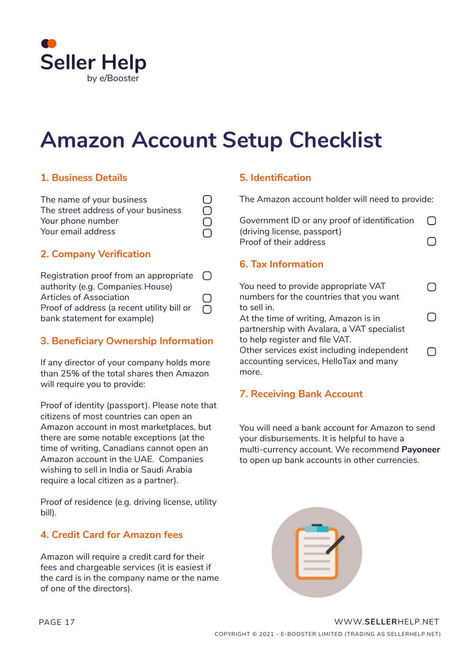

## **Amazon Account Setup Checklist**

### **1. Business Details**

| The name of your business           |           |
|-------------------------------------|-----------|
| The street address of your business | $\Box$    |
| Your phone number                   | $\bigcap$ |
| Your email address                  |           |

### **2. Company Verification**

| Registration proof from an appropriate $\Box$ |        |
|-----------------------------------------------|--------|
| authority (e.g. Companies House)              |        |
| <b>Articles of Association</b>                | $\Box$ |
| Proof of address (a recent utility bill or    | L L    |
| bank statement for example)                   |        |

### **3. Beneficiary Ownership Information**

If any director of your company holds more than 25% of the total shares then Amazon will require you to provide:

Proof of identity (passport). Please note that citizens of most countries can open an Amazon account in most marketplaces, but there are some notable exceptions (at the time of writing, Canadians cannot open an Amazon account in the UAE. Companies wishing to sell in India or Saudi Arabia require a local citizen as a partner).

Proof of residence (e.g. driving license, utility bill).

### **4. Credit Card for Amazon fees**

Amazon will require a credit card for their fees and chargeable services (it is easiest if the card is in the company name or the name of one of the directors).

### **5. Identification**

The Amazon account holder will need to provide:

| Government ID or any proof of identification | $\bigcirc$ |
|----------------------------------------------|------------|
| (driving license, passport)                  |            |
| Proof of their address                       | $\bigcirc$ |

### **6. Tax Information**

You need to provide appropriate VAT  $\bigcap$ numbers for the countries that you want to sell in.  $\bigcap$ At the time of writing, Amazon is in partnership with Avalara, a VAT specialist to help register and file VAT. Other services exist including independent  $\bigcap$ accounting services, HelloTax and many more.

### **7. Receiving Bank Account**

[You will need a bank account for Amazon to send](https://register.payoneer.com/en/rafvip20/?rid=820A4E3A-0D79-45B2-BC26-C91123E827AA)  your disbursements. It is helpful to have a multi-currency account. We recommend **Payoneer** to open up bank accounts in other currencies.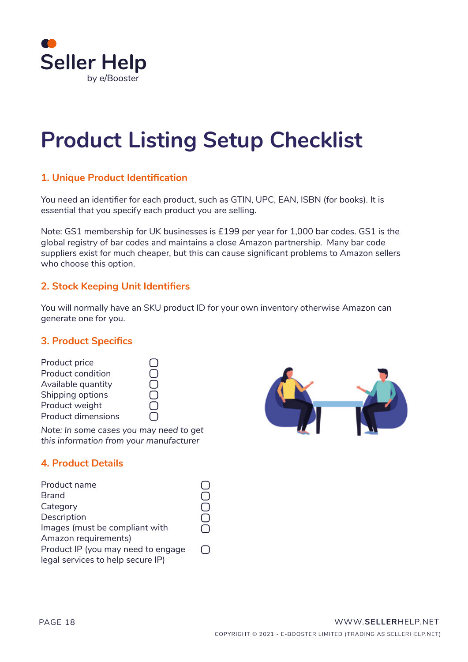

## **Product Listing Setup Checklist**

### **1. Unique Product Identification**

You need an identifier for each product, such as GTIN, UPC, EAN, ISBN (for books). It is essential that you specify each product you are selling.

Note: GS1 membership for UK businesses is £199 per year for 1,000 bar codes. GS1 is the global registry of bar codes and maintains a close Amazon partnership. Many bar code suppliers exist for much cheaper, but this can cause significant problems to Amazon sellers who choose this option.

#### **2. Stock Keeping Unit Identifiers**

You will normally have an SKU product ID for your own inventory otherwise Amazon can generate one for you.

#### **3. Product Specifics**

| Product price             |  |
|---------------------------|--|
| <b>Product condition</b>  |  |
| Available quantity        |  |
| Shipping options          |  |
| Product weight            |  |
| <b>Product dimensions</b> |  |

*Note: In some cases you may need to get this information from your manufacturer*

### **4. Product Details**

| Product name                       |  |
|------------------------------------|--|
| <b>Brand</b>                       |  |
| Category                           |  |
| Description                        |  |
| Images (must be compliant with     |  |
| Amazon requirements)               |  |
| Product IP (you may need to engage |  |
| legal services to help secure IP)  |  |